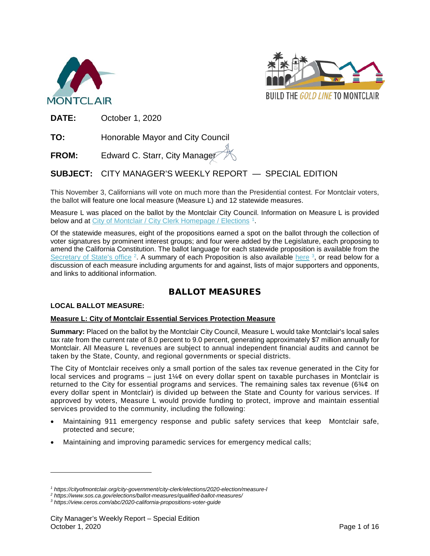



**DATE:** October 1, 2020

**TO:** Honorable Mayor and City Council

**FROM:** Edward C. Starr, City Manager

**SUBJECT:** CITY MANAGER'S WEEKLY REPORT — SPECIAL EDITION

This November 3, Californians will vote on much more than the Presidential contest. For Montclair voters, the ballot will feature one local measure (Measure L) and 12 statewide measures.

Measure L was placed on the ballot by the Montclair City Council. Information on Measure L is provided below and at [City of Montclair / City Clerk Homepage / Elections](https://cityofmontclair.org/city-government/city-clerk/elections/2020-election/measure-l) <sup>[1](#page-0-0)</sup>.

Of the statewide measures, eight of the propositions earned a spot on the ballot through the collection of voter signatures by prominent interest groups; and four were added by the Legislature, each proposing to amend the California Constitution. The ballot language for each statewide proposition is available from the [Secretary of State's office](https://www.sos.ca.gov/elections/ballot-measures/qualified-ballot-measures/) <sup>[2](#page-0-1)</sup>. A summary of each Proposition is also available [here](https://view.ceros.com/abc/2020-california-propositions-voter-guide) <sup>3</sup>, or read below for a discussion of each measure including arguments for and against, lists of major supporters and opponents, and links to additional information.

# BALLOT MEASURES

## **LOCAL BALLOT MEASURE:**

 $\overline{a}$ 

#### **Measure L: City of Montclair Essential Services Protection Measure**

**Summary:** Placed on the ballot by the Montclair City Council, Measure L would take Montclair's local sales tax rate from the current rate of 8.0 percent to 9.0 percent, generating approximately \$7 million annually for Montclair. All Measure L revenues are subject to annual independent financial audits and cannot be taken by the State, County, and regional governments or special districts.

The City of Montclair receives only a small portion of the sales tax revenue generated in the City for local services and programs – just  $1\frac{1}{4}$  on every dollar spent on taxable purchases in Montclair is returned to the City for essential programs and services. The remaining sales tax revenue (6 $\frac{3}{4}$ ¢ on every dollar spent in Montclair) is divided up between the State and County for various services. If approved by voters, Measure L would provide funding to protect, improve and maintain essential services provided to the community, including the following:

- Maintaining 911 emergency response and public safety services that keep Montclair safe, protected and secure;
- Maintaining and improving paramedic services for emergency medical calls;

*<sup>1</sup> https://cityofmontclair.org/city-government/city-clerk/elections/2020-election/measure-l*

<span id="page-0-1"></span><span id="page-0-0"></span>*<sup>2</sup> https://www.sos.ca.gov/elections/ballot-measures/qualified-ballot-measures/*

<span id="page-0-2"></span>*<sup>3</sup> https://view.ceros.com/abc/2020-california-propositions-voter-guide*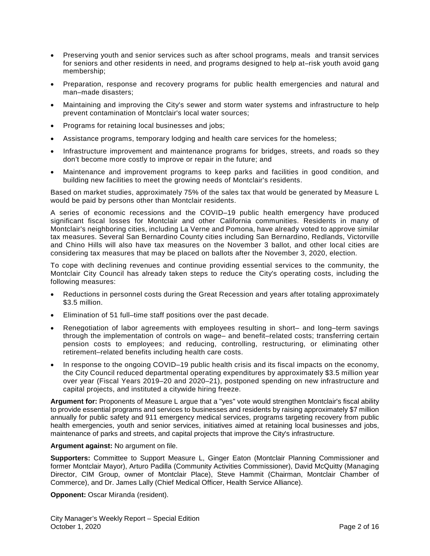- Preserving youth and senior services such as after school programs, meals and transit services for seniors and other residents in need, and programs designed to help at–risk youth avoid gang membership;
- Preparation, response and recovery programs for public health emergencies and natural and man–made disasters;
- Maintaining and improving the City's sewer and storm water systems and infrastructure to help prevent contamination of Montclair's local water sources;
- Programs for retaining local businesses and jobs;
- Assistance programs, temporary lodging and health care services for the homeless;
- Infrastructure improvement and maintenance programs for bridges, streets, and roads so they don't become more costly to improve or repair in the future; and
- Maintenance and improvement programs to keep parks and facilities in good condition, and building new facilities to meet the growing needs of Montclair's residents.

Based on market studies, approximately 75% of the sales tax that would be generated by Measure L would be paid by persons other than Montclair residents.

A series of economic recessions and the COVID–19 public health emergency have produced significant fiscal losses for Montclair and other California communities. Residents in many of Montclair's neighboring cities, including La Verne and Pomona, have already voted to approve similar tax measures. Several San Bernardino County cities including San Bernardino, Redlands, Victorville and Chino Hills will also have tax measures on the November 3 ballot, and other local cities are considering tax measures that may be placed on ballots after the November 3, 2020, election.

To cope with declining revenues and continue providing essential services to the community, the Montclair City Council has already taken steps to reduce the City's operating costs, including the following measures:

- Reductions in personnel costs during the Great Recession and years after totaling approximately \$3.5 million.
- Elimination of 51 full–time staff positions over the past decade.
- Renegotiation of labor agreements with employees resulting in short– and long–term savings through the implementation of controls on wage– and benefit–related costs; transferring certain pension costs to employees; and reducing, controlling, restructuring, or eliminating other retirement–related benefits including health care costs.
- In response to the ongoing COVID–19 public health crisis and its fiscal impacts on the economy, the City Council reduced departmental operating expenditures by approximately \$3.5 million year over year (Fiscal Years 2019–20 and 2020–21), postponed spending on new infrastructure and capital projects, and instituted a citywide hiring freeze.

**Argument for:** Proponents of Measure L argue that a "yes" vote would strengthen Montclair's fiscal ability to provide essential programs and services to businesses and residents by raising approximately \$7 million annually for public safety and 911 emergency medical services, programs targeting recovery from public health emergencies, youth and senior services, initiatives aimed at retaining local businesses and jobs, maintenance of parks and streets, and capital projects that improve the City's infrastructure.

#### **Argument against:** No argument on file.

**Supporters:** Committee to Support Measure L, Ginger Eaton (Montclair Planning Commissioner and former Montclair Mayor), Arturo Padilla (Community Activities Commissioner), David McQuitty (Managing Director, CIM Group, owner of Montclair Place), Steve Hammit (Chairman, Montclair Chamber of Commerce), and Dr. James Lally (Chief Medical Officer, Health Service Alliance).

**Opponent:** Oscar Miranda (resident).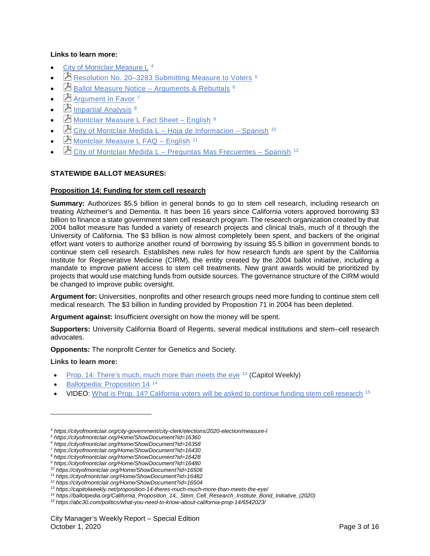## **Links to learn more:**

- [City of Montclair Measure L](https://cityofmontclair.org/city-government/city-clerk/elections/2020-election/measure-l) [4](#page-2-0)
- **E** Resolution No. 20-3283 Submitting Measure to Voters <sup>[5](#page-2-1)</sup>
- $\Box$  [Ballot Measure Notice –](https://cityofmontclair.org/Home/ShowDocument?id=16358) Arguments & Rebuttals  $6$
- $\overline{\mathbf{P}}$  [Argument In Favor](https://cityofmontclair.org/Home/ShowDocument?id=16430)  $7$
- $\Box$  [Impartial Analysis](https://cityofmontclair.org/Home/ShowDocument?id=16428)  $8$
- $\Box$  [Montclair Measure L Fact Sheet –](https://cityofmontclair.org/Home/ShowDocument?id=16480) English  $9$
- $\mathbb E$  [City of Montclair Medida L –](https://cityofmontclair.org/Home/ShowDocument?id=16506) Hoja de Informacion Spanish <sup>[10](#page-2-6)</sup>
- Montclair Measure L FAQ English<sup>[11](#page-2-7)</sup>
- City of Montclair Medida L [Preguntas Mas Frecuentes –](https://cityofmontclair.org/Home/ShowDocument?id=16504) Spanish [12](#page-2-8)

## **STATEWIDE BALLOT MEASURES:**

## **Proposition 14: Funding for stem cell research**

**Summary:** Authorizes \$5.5 billion in general bonds to go to stem cell research, including research on treating Alzheimer's and Dementia. It has been 16 years since California voters approved borrowing \$3 billion to finance a state government stem cell research program. The research organization created by that 2004 ballot measure has funded a variety of research projects and clinical trials, much of it through the University of California. The \$3 billion is now almost completely been spent, and backers of the original effort want voters to authorize another round of borrowing by issuing \$5.5 billion in government bonds to continue stem cell research. Establishes new rules for how research funds are spent by the California Institute for Regenerative Medicine (CIRM), the entity created by the 2004 ballot initiative, including a mandate to improve patient access to stem cell treatments. New grant awards would be prioritized by projects that would use matching funds from outside sources. The governance structure of the CIRM would be changed to improve public oversight.

**Argument for:** Universities, nonprofits and other research groups need more funding to continue stem cell medical research. The \$3 billion in funding provided by Proposition 71 in 2004 has been depleted.

**Argument against:** Insufficient oversight on how the money will be spent.

**Supporters:** University California Board of Regents, several medical institutions and stem–cell research advocates.

**Opponents:** The nonprofit Center for Genetics and Society.

#### **Links to learn more:**

 $\overline{a}$ 

- [Prop. 14: There's much, much more than meets the eye](https://capitolweekly.net/proposition-14-theres-much-much-more-than-meets-the-eye/)  $13$  (Capitol Weekly)
- Ballotpedia: [Proposition 14](https://ballotpedia.org/California_Proposition_14,_Stem_Cell_Research_Institute_Bond_Initiative_(2020))<sup>[14](#page-2-10)</sup>
- VIDEO: [What is Prop. 14? California voters will be asked to continue funding stem cell research](https://abc30.com/politics/what-you-need-to-know-about-california-prop-14/6542023/) [15](#page-2-11)

*<sup>4</sup> https://cityofmontclair.org/city-government/city-clerk/elections/2020-election/measure-l*

<span id="page-2-2"></span><span id="page-2-1"></span><span id="page-2-0"></span>*<sup>5</sup> https://cityofmontclair.org/Home/ShowDocument?id=16360*

*<sup>6</sup> https://cityofmontclair.org/Home/ShowDocument?id=16358*

<span id="page-2-3"></span>*<sup>7</sup> https://cityofmontclair.org/Home/ShowDocument?id=16430*

<span id="page-2-5"></span><span id="page-2-4"></span>*<sup>8</sup> https://cityofmontclair.org/Home/ShowDocument?id=16428 <sup>9</sup> https://cityofmontclair.org/Home/ShowDocument?id=16480*

<span id="page-2-6"></span>*<sup>10</sup> https://cityofmontclair.org/Home/ShowDocument?id=16506*

<span id="page-2-7"></span>*<sup>11</sup> https://cityofmontclair.org/Home/ShowDocument?id=16482 <sup>12</sup> https://cityofmontclair.org/Home/ShowDocument?id=16504*

<span id="page-2-8"></span>*<sup>13</sup> https://capitolweekly.net/proposition-14-theres-much-much-more-than-meets-the-eye/*

<span id="page-2-9"></span>*<sup>14</sup> https://ballotpedia.org/California\_Proposition\_14,\_Stem\_Cell\_Research\_Institute\_Bond\_Initiative\_(2020)*

<span id="page-2-11"></span><span id="page-2-10"></span>*<sup>15</sup> https://abc30.com/politics/what-you-need-to-know-about-california-prop-14/6542023/*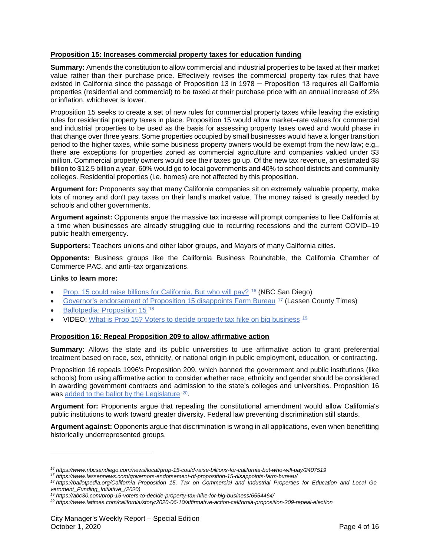## **Proposition 15: Increases commercial property taxes for education funding**

**Summary:** Amends the constitution to allow commercial and industrial properties to be taxed at their market value rather than their purchase price. Effectively revises the commercial property tax rules that have existed in California since the passage of Proposition 13 in 1978 – Proposition 13 requires all California properties (residential and commercial) to be taxed at their purchase price with an annual increase of 2% or inflation, whichever is lower.

Proposition 15 seeks to create a set of new rules for commercial property taxes while leaving the existing rules for residential property taxes in place. Proposition 15 would allow market–rate values for commercial and industrial properties to be used as the basis for assessing property taxes owed and would phase in that change over three years. Some properties occupied by small businesses would have a longer transition period to the higher taxes, while some business property owners would be exempt from the new law; e.g., there are exceptions for properties zoned as commercial agriculture and companies valued under \$3 million. Commercial property owners would see their taxes go up. Of the new tax revenue, an estimated \$8 billion to \$12.5 billion a year, 60% would go to local governments and 40% to school districts and community colleges. Residential properties (i.e. homes) are not affected by this proposition.

**Argument for:** Proponents say that many California companies sit on extremely valuable property, make lots of money and don't pay taxes on their land's market value. The money raised is greatly needed by schools and other governments.

**Argument against:** Opponents argue the massive tax increase will prompt companies to flee California at a time when businesses are already struggling due to recurring recessions and the current COVID–19 public health emergency.

**Supporters:** Teachers unions and other labor groups, and Mayors of many California cities.

**Opponents:** Business groups like the California Business Roundtable, the California Chamber of Commerce PAC, and anti–tax organizations.

### **Links to learn more:**

 $\overline{a}$ 

- [Prop. 15 could raise billions for California, But who will pay?](https://www.nbcsandiego.com/news/local/prop-15-could-raise-billions-for-california-but-who-will-pay/2407519/) [16](#page-3-0) (NBC San Diego)
- [Governor's endorsement of Proposition 15 disappoints Farm Bureau](https://www.lassennews.com/governors-endorsement-of-proposition-15-disappoints-farm-bureau/) <sup>[17](#page-3-1)</sup> (Lassen County Times)
- Ballotpedia: [Proposition 15](https://ballotpedia.org/California_Proposition_15,_Tax_on_Commercial_and_Industrial_Properties_for_Education_and_Local_Government_Funding_Initiative_(2020)) [18](#page-3-2)
- VIDEO: [What is Prop 15? Voters to decide property tax hike on big business](https://abc30.com/prop-15-voters-to-decide-property-tax-hike-for-big-business/6554464/) [19](#page-3-3)

#### **Proposition 16: Repeal Proposition 209 to allow affirmative action**

**Summary:** Allows the state and its public universities to use affirmative action to grant preferential treatment based on race, sex, ethnicity, or national origin in public employment, education, or contracting.

Proposition 16 repeals 1996's Proposition 209, which banned the government and public institutions (like schools) from using affirmative action to consider whether race, ethnicity and gender should be considered in awarding government contracts and admission to the state's colleges and universities. Proposition 16 was [added to the ballot by the Legislature](https://www.latimes.com/california/story/2020-06-10/affirmative-action-california-proposition-209-repeal-election) <sup>[20](#page-3-4)</sup>.

**Argument for:** Proponents argue that repealing the constitutional amendment would allow California's public institutions to work toward greater diversity. Federal law preventing discrimination still stands.

**Argument against:** Opponents argue that discrimination is wrong in all applications, even when benefitting historically underrepresented groups.

*<sup>16</sup> https://www.nbcsandiego.com/news/local/prop-15-could-raise-billions-for-california-but-who-will-pay/2407519*

<span id="page-3-0"></span>*<sup>17</sup> https://www.lassennews.com/governors-endorsement-of-proposition-15-disappoints-farm-bureau/*

<span id="page-3-2"></span><span id="page-3-1"></span>*<sup>18</sup> https://ballotpedia.org/California\_Proposition\_15,\_Tax\_on\_Commercial\_and\_Industrial\_Properties\_for\_Education\_and\_Local\_Go vernment\_Funding\_Initiative\_(2020)*

*<sup>19</sup> https://abc30.com/prop-15-voters-to-decide-property-tax-hike-for-big-business/6554464/*

<span id="page-3-4"></span><span id="page-3-3"></span>*<sup>20</sup> https://www.latimes.com/california/story/2020-06-10/affirmative-action-california-proposition-209-repeal-election*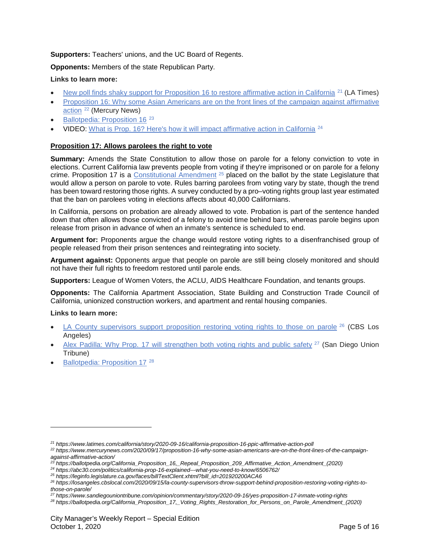# **Supporters:** Teachers' unions, and the UC Board of Regents.

# **Opponents:** Members of the state Republican Party.

## **Links to learn more:**

- [New poll finds shaky support for Proposition 16 to restore affirmative action in California](https://www.latimes.com/california/story/2020-09-16/california-proposition-16-ppic-affirmative-action-poll) <sup>[21](#page-4-0)</sup> (LA Times)
- [Proposition 16: Why some Asian Americans are on the front lines of the campaign against affirmative](https://www.mercurynews.com/2020/09/17/proposition-16-why-some-asian-americans-are-on-the-front-lines-of-the-campaign-against-affirmative-action/)  [action](https://www.mercurynews.com/2020/09/17/proposition-16-why-some-asian-americans-are-on-the-front-lines-of-the-campaign-against-affirmative-action/) [22](#page-4-1) (Mercury News)
- Ballotpedia: [Proposition 16](https://ballotpedia.org/California_Proposition_16,_Repeal_Proposition_209_Affirmative_Action_Amendment_(2020))<sup>[23](#page-4-2)</sup>
- VIDEO: [What is Prop. 16? Here's how it will impact affirmative action in California](https://abc30.com/politics/california-prop-16-explained---what-you-need-to-know/6506762/) [24](#page-4-3)

## **Proposition 17: Allows parolees the right to vote**

**Summary:** Amends the State Constitution to allow those on parole for a felony conviction to vote in elections. Current California law prevents people from voting if they're imprisoned or on parole for a felony crime. Proposition 17 is a [Constitutional Amendment](https://leginfo.legislature.ca.gov/faces/billTextClient.xhtml?bill_id=201920200ACA6) <sup>[25](#page-4-4)</sup> placed on the ballot by the state Legislature that would allow a person on parole to vote. Rules barring parolees from voting vary by state, though the trend has been toward restoring those rights. A survey conducted by a pro–voting rights group last year estimated that the ban on parolees voting in elections affects about 40,000 Californians.

In California, persons on probation are already allowed to vote. Probation is part of the sentence handed down that often allows those convicted of a felony to avoid time behind bars, whereas parole begins upon release from prison in advance of when an inmate's sentence is scheduled to end.

**Argument for:** Proponents argue the change would restore voting rights to a disenfranchised group of people released from their prison sentences and reintegrating into society.

**Argument against:** Opponents argue that people on parole are still being closely monitored and should not have their full rights to freedom restored until parole ends.

**Supporters:** League of Women Voters, the ACLU, AIDS Healthcare Foundation, and tenants groups.

**Opponents:** The California Apartment Association, State Building and Construction Trade Council of California, unionized construction workers, and apartment and rental housing companies.

#### **Links to learn more:**

 $\overline{a}$ 

- [LA County supervisors support proposition restoring voting rights to those on parole](https://losangeles.cbslocal.com/2020/09/15/la-county-supervisors-throw-support-behind-proposition-restoring-voting-rights-to-those-on-parole/)  $^{26}$  $^{26}$  $^{26}$  (CBS Los Angeles)
- [Alex Padilla: Why Prop. 17 will strengthen both voting rights and public safety](https://www.sandiegouniontribune.com/opinion/commentary/story/2020-09-16/yes-proposition-17-inmate-voting-rights) <sup>[27](#page-4-6)</sup> (San Diego Union Tribune)
- Ballotpedia: [Proposition 17](https://ballotpedia.org/California_Proposition_17,_Voting_Rights_Restoration_for_Persons_on_Parole_Amendment_(2020))<sup>[28](#page-4-7)</sup>

<span id="page-4-0"></span>*<sup>21</sup> https://www.latimes.com/california/story/2020-09-16/california-proposition-16-ppic-affirmative-action-poll*

<span id="page-4-1"></span>*<sup>22</sup> https://www.mercurynews.com/2020/09/17/proposition-16-why-some-asian-americans-are-on-the-front-lines-of-the-campaignagainst-affirmative-action/*

*<sup>23</sup> https://ballotpedia.org/California\_Proposition\_16,\_Repeal\_Proposition\_209\_Affirmative\_Action\_Amendment\_(2020)*

<span id="page-4-3"></span><span id="page-4-2"></span>*<sup>24</sup> https://abc30.com/politics/california-prop-16-explained---what-you-need-to-know/6506762/*

<span id="page-4-4"></span>*<sup>25</sup> https://leginfo.legislature.ca.gov/faces/billTextClient.xhtml?bill\_id=201920200ACA6*

<span id="page-4-5"></span>*<sup>26</sup> https://losangeles.cbslocal.com/2020/09/15/la-county-supervisors-throw-support-behind-proposition-restoring-voting-rights-tothose-on-parole/*

<span id="page-4-6"></span>*<sup>27</sup> https://www.sandiegouniontribune.com/opinion/commentary/story/2020-09-16/yes-proposition-17-inmate-voting-rights*

<span id="page-4-7"></span>*<sup>28</sup> https://ballotpedia.org/California\_Proposition\_17,\_Voting\_Rights\_Restoration\_for\_Persons\_on\_Parole\_Amendment\_(2020)*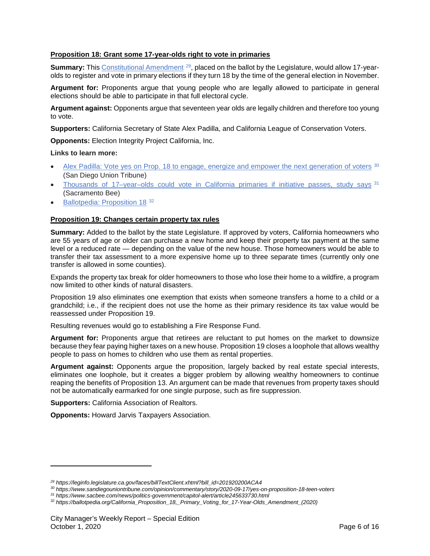## **Proposition 18: Grant some 17-year-olds right to vote in primaries**

**Summary:** Thi[s Constitutional Amendment](https://leginfo.legislature.ca.gov/faces/billTextClient.xhtml?bill_id=201920200ACA4) <sup>[29](#page-5-0)</sup>, placed on the ballot by the Legislature, would allow 17-yearolds to register and vote in primary elections if they turn 18 by the time of the general election in November.

**Argument for:** Proponents argue that young people who are legally allowed to participate in general elections should be able to participate in that full electoral cycle.

**Argument against:** Opponents argue that seventeen year olds are legally children and therefore too young to vote.

**Supporters:** California Secretary of State Alex Padilla, and California League of Conservation Voters.

**Opponents:** Election Integrity Project California, Inc.

## **Links to learn more:**

- [Alex Padilla: Vote yes on Prop. 18 to engage, energize and empower the next generation of voters](https://www.sandiegouniontribune.com/opinion/commentary/story/2020-09-17/yes-on-proposition-18-teen-voters) [30](#page-5-1) (San Diego Union Tribune)
- [Thousands of 17–year–olds could vote in California primaries if initiative passes, study says](https://www.sacbee.com/news/politics-government/capitol-alert/article245633730.html) [31](#page-5-2) (Sacramento Bee)
- Ballotpedia: [Proposition 18](https://ballotpedia.org/California_Proposition_18,_Primary_Voting_for_17-Year-Olds_Amendment_(2020)) [32](#page-5-3)

#### **Proposition 19: Changes certain property tax rules**

**Summary:** Added to the ballot by the state Legislature. If approved by voters, California homeowners who are 55 years of age or older can purchase a new home and keep their property tax payment at the same level or a reduced rate — depending on the value of the new house. Those homeowners would be able to transfer their tax assessment to a more expensive home up to three separate times (currently only one transfer is allowed in some counties).

Expands the property tax break for older homeowners to those who lose their home to a wildfire, a program now limited to other kinds of natural disasters.

Proposition 19 also eliminates one exemption that exists when someone transfers a home to a child or a grandchild; i.e., if the recipient does not use the home as their primary residence its tax value would be reassessed under Proposition 19.

Resulting revenues would go to establishing a Fire Response Fund.

**Argument for:** Proponents argue that retirees are reluctant to put homes on the market to downsize because they fear paying higher taxes on a new house. Proposition 19 closes a loophole that allows wealthy people to pass on homes to children who use them as rental properties.

**Argument against:** Opponents argue the proposition, largely backed by real estate special interests, eliminates one loophole, but it creates a bigger problem by allowing wealthy homeowners to continue reaping the benefits of Proposition 13. An argument can be made that revenues from property taxes should not be automatically earmarked for one single purpose, such as fire suppression.

**Supporters:** California Association of Realtors.

 $\overline{a}$ 

**Opponents:** Howard Jarvis Taxpayers Association.

<span id="page-5-0"></span>*<sup>29</sup> https://leginfo.legislature.ca.gov/faces/billTextClient.xhtml?bill\_id=201920200ACA4*

*<sup>30</sup> https://www.sandiegouniontribune.com/opinion/commentary/story/2020-09-17/yes-on-proposition-18-teen-voters*

<span id="page-5-2"></span><span id="page-5-1"></span>*<sup>31</sup> https://www.sacbee.com/news/politics-government/capitol-alert/article245633730.html*

<span id="page-5-3"></span>*<sup>32</sup> https://ballotpedia.org/California\_Proposition\_18,\_Primary\_Voting\_for\_17-Year-Olds\_Amendment\_(2020)*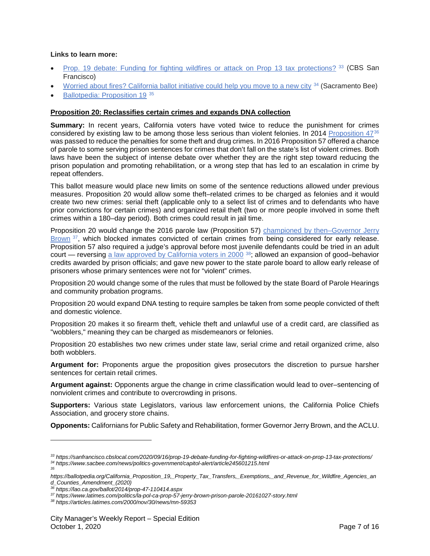#### **Links to learn more:**

- [Prop. 19 debate: Funding for fighting wildfires or attack on Prop 13 tax protections?](https://sanfrancisco.cbslocal.com/2020/09/16/prop-19-debate-funding-for-fighting-wildfires-or-attack-on-prop-13-tax-protections/) [33](#page-6-0) (CBS San Francisco)
- [Worried about fires? California ballot initiative could help you move to a new city](https://www.sacbee.com/news/politics-government/capitol-alert/article245601215.html) [34](#page-6-1) (Sacramento Bee)
- Ballotpedia: [Proposition 19](https://ballotpedia.org/California_Proposition_19,_Property_Tax_Transfers,_Exemptions,_and_Revenue_for_Wildfire_Agencies_and_Counties_Amendment_(2020)) [35](#page-6-2)

#### **Proposition 20: Reclassifies certain crimes and expands DNA collection**

**Summary:** In recent years, California voters have voted twice to reduce the punishment for crimes considered by existing law to be among those less serious than violent felonies. In 2014 [Proposition 47](https://lao.ca.gov/ballot/2014/prop-47-110414.aspx)[36](#page-6-3) was passed to reduce the penalties for some theft and drug crimes. In 2016 Proposition 57 offered a chance of parole to some serving prison sentences for crimes that don't fall on the state's list of violent crimes. Both laws have been the subject of intense debate over whether they are the right step toward reducing the prison population and promoting rehabilitation, or a wrong step that has led to an escalation in crime by repeat offenders.

This ballot measure would place new limits on some of the sentence reductions allowed under previous measures. Proposition 20 would allow some theft–related crimes to be charged as felonies and it would create two new crimes: serial theft (applicable only to a select list of crimes and to defendants who have prior convictions for certain crimes) and organized retail theft (two or more people involved in some theft crimes within a 180–day period). Both crimes could result in jail time.

Proposition 20 would change the 2016 parole law (Proposition 57) [championed by then–Governor Jerry](https://www.latimes.com/politics/la-pol-ca-prop-57-jerry-brown-prison-parole-20161027-story.html)  [Brown](https://www.latimes.com/politics/la-pol-ca-prop-57-jerry-brown-prison-parole-20161027-story.html) <sup>37</sup>, which blocked inmates convicted of certain crimes from being considered for early release. Proposition 57 also required a judge's approval before most juvenile defendants could be tried in an adult court — reversing [a law approved by California voters in 2000](https://articles.latimes.com/2000/nov/30/news/mn-59353) [38](#page-6-5); allowed an expansion of good–behavior credits awarded by prison officials; and gave new power to the state parole board to allow early release of prisoners whose primary sentences were not for "violent" crimes.

Proposition 20 would change some of the rules that must be followed by the state Board of Parole Hearings and community probation programs.

Proposition 20 would expand DNA testing to require samples be taken from some people convicted of theft and domestic violence.

Proposition 20 makes it so firearm theft, vehicle theft and unlawful use of a credit card, are classified as "wobblers," meaning they can be charged as misdemeanors or felonies.

Proposition 20 establishes two new crimes under state law, serial crime and retail organized crime, also both wobblers.

**Argument for:** Proponents argue the proposition gives prosecutors the discretion to pursue harsher sentences for certain retail crimes.

**Argument against:** Opponents argue the change in crime classification would lead to over–sentencing of nonviolent crimes and contribute to overcrowding in prisons.

**Supporters:** Various state Legislators, various law enforcement unions, the California Police Chiefs Association, and grocery store chains.

**Opponents:** Californians for Public Safety and Rehabilitation, former Governor Jerry Brown, and the ACLU.

 $\overline{a}$ 

*35*

<span id="page-6-1"></span><span id="page-6-0"></span>*<sup>33</sup> https://sanfrancisco.cbslocal.com/2020/09/16/prop-19-debate-funding-for-fighting-wildfires-or-attack-on-prop-13-tax-protections/ <sup>34</sup> https://www.sacbee.com/news/politics-government/capitol-alert/article245601215.html*

<span id="page-6-2"></span>*https://ballotpedia.org/California\_Proposition\_19,\_Property\_Tax\_Transfers,\_Exemptions,\_and\_Revenue\_for\_Wildfire\_Agencies\_an d\_Counties\_Amendment\_(2020)*

<span id="page-6-3"></span>*<sup>36</sup> https://lao.ca.gov/ballot/2014/prop-47-110414.aspx*

*<sup>37</sup> https://www.latimes.com/politics/la-pol-ca-prop-57-jerry-brown-prison-parole-20161027-story.html*

<span id="page-6-5"></span><span id="page-6-4"></span>*<sup>38</sup> https://articles.latimes.com/2000/nov/30/news/mn-59353*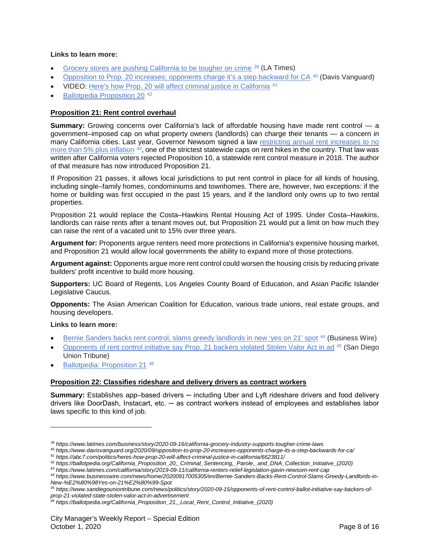#### **Links to learn more:**

- [Grocery stores are pushing California to be tougher on crime](https://www.latimes.com/business/story/2020-09-16/california-grocery-industry-supports-tougher-crime-laws) [39](#page-7-0) (LA Times)
- [Opposition to Prop. 20 increases; opponents charge it's a step backward for CA](https://www.davisvanguard.org/2020/09/opposition-to-prop-20-increases-opponents-charge-its-a-step-backwards-for-ca/) [40](#page-7-1) (Davis Vanguard)
- VIDEO: [Here's how Prop. 20 will affect criminal justice in California](https://abc7.com/politics/heres-how-prop-20-will-affect-criminal-justice-in-california/6623811/) [41](#page-7-2)
- [Ballotpedia Proposition 20](https://ballotpedia.org/California_Proposition_20,_Criminal_Sentencing,_Parole,_and_DNA_Collection_Initiative_(2020))<sup>[42](#page-7-3)</sup>

## **Proposition 21: Rent control overhaul**

**Summary:** Growing concerns over California's lack of affordable housing have made rent control — a government–imposed cap on what property owners (landlords) can charge their tenants — a concern in many California cities. Last year, Governor Newsom signed a law [restricting annual rent increases to no](https://www.latimes.com/california/story/2019-09-11/california-renters-relief-legislation-gavin-newsom-rent-cap)  [more than 5% plus inflation](https://www.latimes.com/california/story/2019-09-11/california-renters-relief-legislation-gavin-newsom-rent-cap) <sup>43</sup>, one of the strictest statewide caps on rent hikes in the country. That law was written after California voters rejected Proposition 10, a statewide rent control measure in 2018. The author of that measure has now introduced Proposition 21.

If Proposition 21 passes, it allows local jurisdictions to put rent control in place for all kinds of housing, including single–family homes, condominiums and townhomes. There are, however, two exceptions: if the home or building was first occupied in the past 15 years, and if the landlord only owns up to two rental properties.

Proposition 21 would replace the Costa–Hawkins Rental Housing Act of 1995. Under Costa–Hawkins, landlords can raise rents after a tenant moves out, but Proposition 21 would put a limit on how much they can raise the rent of a vacated unit to 15% over three years.

**Argument for:** Proponents argue renters need more protections in California's expensive housing market, and Proposition 21 would allow local governments the ability to expand more of those protections.

**Argument against:** Opponents argue more rent control could worsen the housing crisis by reducing private builders' profit incentive to build more housing.

**Supporters:** UC Board of Regents, Los Angeles County Board of Education, and Asian Pacific Islander Legislative Caucus.

**Opponents:** The Asian American Coalition for Education, various trade unions, real estate groups, and housing developers.

#### **Links to learn more:**

 $\overline{a}$ 

- [Bernie Sanders backs rent control, slams greedy landlords in new 'yes on 21' spot](https://www.businesswire.com/news/home/20200917005305/en/Bernie-Sanders-Backs-Rent-Control-Slams-Greedy-Landlords-in-New-%E2%80%98Yes-on-21%E2%80%99-Spot) [44](#page-7-5) (Business Wire)
- [Opponents of rent control initiative say Prop.](https://www.sandiegouniontribune.com/news/politics/story/2020-09-15/opponents-of-rent-control-ballot-initiative-say-backers-of-prop-21-violated-state-stolen-valor-act-in-advertisement) 21 backers violated Stolen Valor Act in ad [45](#page-7-6) (San Diego Union Tribune)
- Ballotpedia: [Proposition 21](https://ballotpedia.org/California_Proposition_21,_Local_Rent_Control_Initiative_(2020)) [46](#page-7-7)

#### **Proposition 22: Classifies rideshare and delivery drivers as contract workers**

**Summary:** Establishes app–based drivers — including Uber and Lyft rideshare drivers and food delivery drivers like DoorDash, Instacart, etc. ─ as contract workers instead of employees and establishes labor laws specific to this kind of job.

<span id="page-7-2"></span>*<sup>41</sup> https://abc7.com/politics/heres-how-prop-20-will-affect-criminal-justice-in-california/6623811/*

<span id="page-7-0"></span>*<sup>39</sup> https://www.latimes.com/business/story/2020-09-16/california-grocery-industry-supports-tougher-crime-laws*

<span id="page-7-1"></span>*<sup>40</sup> https://www.davisvanguard.org/2020/09/opposition-to-prop-20-increases-opponents-charge-its-a-step-backwards-for-ca/*

<span id="page-7-3"></span>*<sup>42</sup> https://ballotpedia.org/California\_Proposition\_20,\_Criminal\_Sentencing,\_Parole,\_and\_DNA\_Collection\_Initiative\_(2020)*

*<sup>43</sup> https://www.latimes.com/california/story/2019-09-11/california-renters-relief-legislation-gavin-newsom-rent-cap*

<span id="page-7-5"></span><span id="page-7-4"></span>*<sup>44</sup> https://www.businesswire.com/news/home/20200917005305/en/Bernie-Sanders-Backs-Rent-Control-Slams-Greedy-Landlords-in-New-%E2%80%98Yes-on-21%E2%80%99-Spot*

<span id="page-7-6"></span>*<sup>45</sup> https://www.sandiegouniontribune.com/news/politics/story/2020-09-15/opponents-of-rent-control-ballot-initiative-say-backers-ofprop-21-violated-state-stolen-valor-act-in-advertisement*

<span id="page-7-7"></span>*<sup>46</sup> https://ballotpedia.org/California\_Proposition\_21,\_Local\_Rent\_Control\_Initiative\_(2020)*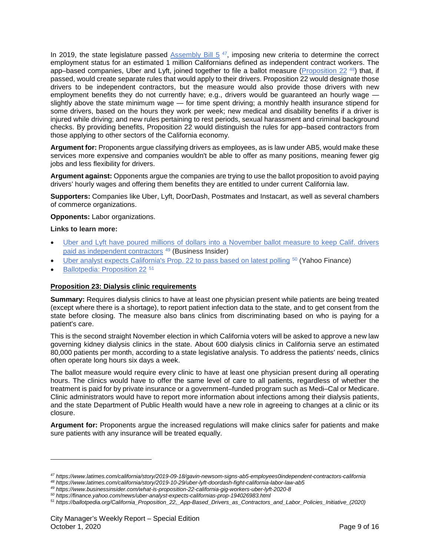In 2019, the state legislature passed Assembly Bill  $5<sup>47</sup>$ , imposing new criteria to determine the correct employment status for an estimated 1 million Californians defined as independent contract workers. The app–based companies, Uber and Lyft, joined together to file a ballot measure [\(Proposition 22](https://www.latimes.com/california/story/2019-10-29/uber-lyft-doordash-fight-california-labor-law-ab5)<sup>[48](#page-8-1)</sup>) that, if passed, would create separate rules that would apply to their drivers. Proposition 22 would designate those drivers to be independent contractors, but the measure would also provide those drivers with new employment benefits they do not currently have; e.g., drivers would be guaranteed an hourly wage slightly above the state minimum wage — for time spent driving; a monthly health insurance stipend for some drivers, based on the hours they work per week; new medical and disability benefits if a driver is injured while driving; and new rules pertaining to rest periods, sexual harassment and criminal background checks. By providing benefits, Proposition 22 would distinguish the rules for app–based contractors from those applying to other sectors of the California economy.

**Argument for:** Proponents argue classifying drivers as employees, as is law under AB5, would make these services more expensive and companies wouldn't be able to offer as many positions, meaning fewer gig jobs and less flexibility for drivers.

**Argument against:** Opponents argue the companies are trying to use the ballot proposition to avoid paying drivers' hourly wages and offering them benefits they are entitled to under current California law.

**Supporters:** Companies like Uber, Lyft, DoorDash, Postmates and Instacart, as well as several chambers of commerce organizations.

**Opponents:** Labor organizations.

#### **Links to learn more:**

 $\overline{a}$ 

- [Uber and Lyft have poured millions of dollars into a November ballot measure to keep Calif. drivers](https://www.businessinsider.com/what-is-proposition-22-california-gig-workers-uber-lyft-2020-8)  [paid as independent contractors](https://www.businessinsider.com/what-is-proposition-22-california-gig-workers-uber-lyft-2020-8)<sup>[49](#page-8-2)</sup> (Business Insider)
- [Uber analyst expects California's Prop. 22 to pass based on latest polling](https://finance.yahoo.com/news/uber-analyst-expects-californias-prop-194026983.html) <sup>[50](#page-8-3)</sup> (Yahoo Finance)
- Ballotpedia: [Proposition 22](https://ballotpedia.org/California_Proposition_22,_App-Based_Drivers_as_Contractors_and_Labor_Policies_Initiative_(2020)) [51](#page-8-4)

#### **Proposition 23: Dialysis clinic requirements**

**Summary:** Requires dialysis clinics to have at least one physician present while patients are being treated (except where there is a shortage), to report patient infection data to the state, and to get consent from the state before closing. The measure also bans clinics from discriminating based on who is paying for a patient's care.

This is the second straight November election in which California voters will be asked to approve a new law governing kidney dialysis clinics in the state. About 600 dialysis clinics in California serve an estimated 80,000 patients per month, according to a state legislative analysis. To address the patients' needs, clinics often operate long hours six days a week.

The ballot measure would require every clinic to have at least one physician present during all operating hours. The clinics would have to offer the same level of care to all patients, regardless of whether the treatment is paid for by private insurance or a government–funded program such as Medi–Cal or Medicare. Clinic administrators would have to report more information about infections among their dialysis patients, and the state Department of Public Health would have a new role in agreeing to changes at a clinic or its closure.

**Argument for:** Proponents argue the increased regulations will make clinics safer for patients and make sure patients with any insurance will be treated equally.

<span id="page-8-0"></span>*<sup>47</sup> https://www.latimes.com/california/story/2019-09-18/gavin-newsom-signs-ab5-employees0independent-contractors-california*

<span id="page-8-1"></span>*<sup>48</sup> https://www.latimes.com/california/story/2019-10-29/uber-lyft-doordash-fight-california-labor-law-ab5*

<span id="page-8-2"></span>*<sup>49</sup> https://www.businessinsider.com/what-is-proposition-22-california-gig-workers-uber-lyft-2020-8*

*<sup>50</sup> https://finance.yahoo.com/news/uber-analyst-expects-californias-prop-194026983.html*

<span id="page-8-4"></span><span id="page-8-3"></span>*<sup>51</sup> https://ballotpedia.org/California\_Proposition\_22,\_App-Based\_Drivers\_as\_Contractors\_and\_Labor\_Policies\_Initiative\_(2020)*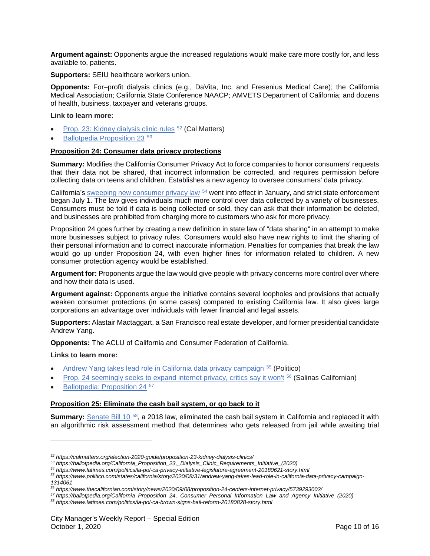**Argument against:** Opponents argue the increased regulations would make care more costly for, and less available to, patients.

**Supporters:** SEIU healthcare workers union.

**Opponents:** For–profit dialysis clinics (e.g., DaVita, Inc. and Fresenius Medical Care); the California Medical Association; California State Conference NAACP; AMVETS Department of California; and dozens of health, business, taxpayer and veterans groups.

#### **Link to learn more:**

- [Prop. 23: Kidney dialysis clinic rules](https://calmatters.org/election-2020-guide/proposition-23-kidney-dialysis-clinics/) [52](#page-9-0) (Cal Matters)
- [Ballotpedia Proposition 23](https://ballotpedia.org/California_Proposition_23,_Dialysis_Clinic_Requirements_Initiative_(2020))<sup>[53](#page-9-1)</sup>

#### **Proposition 24: Consumer data privacy protections**

**Summary:** Modifies the California Consumer Privacy Act to force companies to honor consumers' requests that their data not be shared, that incorrect information be corrected, and requires permission before collecting data on teens and children. Establishes a new agency to oversee consumers' data privacy.

California's [sweeping new consumer privacy law](https://www.latimes.com/politics/la-pol-ca-privacy-initiative-legislature-agreement-20180621-story.html)  $54$  went into effect in January, and strict state enforcement began July 1. The law gives individuals much more control over data collected by a variety of businesses. Consumers must be told if data is being collected or sold, they can ask that their information be deleted, and businesses are prohibited from charging more to customers who ask for more privacy.

Proposition 24 goes further by creating a new definition in state law of "data sharing" in an attempt to make more businesses subject to privacy rules. Consumers would also have new rights to limit the sharing of their personal information and to correct inaccurate information. Penalties for companies that break the law would go up under Proposition 24, with even higher fines for information related to children. A new consumer protection agency would be established.

**Argument for:** Proponents argue the law would give people with privacy concerns more control over where and how their data is used.

**Argument against:** Opponents argue the initiative contains several loopholes and provisions that actually weaken consumer protections (in some cases) compared to existing California law. It also gives large corporations an advantage over individuals with fewer financial and legal assets.

**Supporters:** Alastair Mactaggart, a San Francisco real estate developer, and former presidential candidate Andrew Yang.

**Opponents:** The ACLU of California and Consumer Federation of California.

#### **Links to learn more:**

 $\overline{a}$ 

- [Andrew Yang takes lead role in California data privacy campaign](https://www.politico.com/states/california/story/2020/08/31/andrew-yang-takes-lead-role-in-california-data-privacy-campaign-1314061) <sup>[55](#page-9-3)</sup> (Politico)
- [Prop. 24 seemingly seeks to expand internet privacy, critics say it won't](https://www.thecalifornian.com/story/news/2020/09/08/proposition-24-centers-internet-privacy/5739293002/) [56](#page-9-4) (Salinas Californian)
- Ballotpedia: [Proposition 24](https://ballotpedia.org/California_Proposition_24,_Consumer_Personal_Information_Law_and_Agency_Initiative_(2020)) [57](#page-9-5)

## **Proposition 25: Eliminate the cash bail system, or go back to it**

**Summary:** [Senate Bill 10](https://www.latimes.com/politics/la-pol-ca-brown-signs-bail-reform-20180828-story.html)<sup>[58](#page-9-6)</sup>, a 2018 law, eliminated the cash bail system in California and replaced it with an algorithmic risk assessment method that determines who gets released from jail while awaiting trial

*<sup>52</sup> https://calmatters.org/election-2020-guide/proposition-23-kidney-dialysis-clinics/*

<span id="page-9-1"></span><span id="page-9-0"></span>*<sup>53</sup> https://ballotpedia.org/California\_Proposition\_23,\_Dialysis\_Clinic\_Requirements\_Initiative\_(2020)*

<span id="page-9-2"></span>*<sup>54</sup> https://www.latimes.com/politics/la-pol-ca-privacy-initiative-legislature-agreement-20180621-story.html*

<span id="page-9-3"></span>*<sup>55</sup> https://www.politico.com/states/california/story/2020/08/31/andrew-yang-takes-lead-role-in-california-data-privacy-campaign-1314061*

*<sup>56</sup> https://www.thecalifornian.com/story/news/2020/09/08/proposition-24-centers-internet-privacy/5739293002/*

<span id="page-9-5"></span><span id="page-9-4"></span>*<sup>57</sup> https://ballotpedia.org/California\_Proposition\_24,\_Consumer\_Personal\_Information\_Law\_and\_Agency\_Initiative\_(2020)*

<span id="page-9-6"></span>*<sup>58</sup> https://www.latimes.com/politics/la-pol-ca-brown-signs-bail-reform-20180828-story.html*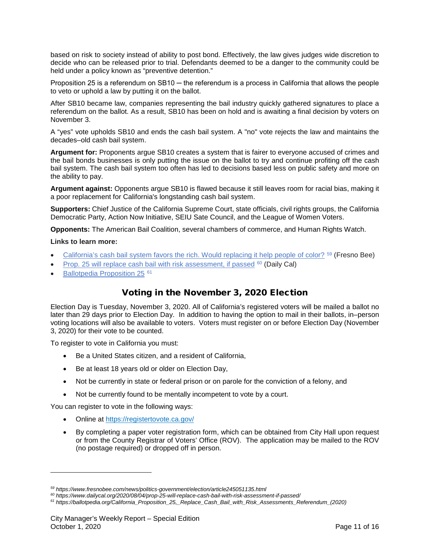based on risk to society instead of ability to post bond. Effectively, the law gives judges wide discretion to decide who can be released prior to trial. Defendants deemed to be a danger to the community could be held under a policy known as "preventive detention."

Proposition 25 is a referendum on SB10 ─ the referendum is a process in California that allows the people to veto or uphold a law by putting it on the ballot.

After SB10 became law, companies representing the bail industry quickly gathered signatures to place a referendum on the ballot. As a result, SB10 has been on hold and is awaiting a final decision by voters on November 3.

A "yes" vote upholds SB10 and ends the cash bail system. A "no" vote rejects the law and maintains the decades–old cash bail system.

**Argument for:** Proponents argue SB10 creates a system that is fairer to everyone accused of crimes and the bail bonds businesses is only putting the issue on the ballot to try and continue profiting off the cash bail system. The cash bail system too often has led to decisions based less on public safety and more on the ability to pay.

**Argument against:** Opponents argue SB10 is flawed because it still leaves room for racial bias, making it a poor replacement for California's longstanding cash bail system.

**Supporters:** Chief Justice of the California Supreme Court, state officials, civil rights groups, the California Democratic Party, Action Now Initiative, SEIU Sate Council, and the League of Women Voters.

**Opponents:** The American Bail Coalition, several chambers of commerce, and Human Rights Watch.

#### **Links to learn more:**

 $\overline{a}$ 

- [California's cash bail system favors the rich. Would replacing it help people of color?](https://www.fresnobee.com/news/politics-government/election/article245051135.html) <sup>[59](#page-10-0)</sup> (Fresno Bee)
- [Prop. 25 will replace cash bail with risk assessment, if passed](https://www.dailycal.org/2020/08/04/prop-25-will-replace-cash-bail-with-risk-assessment-if-passed/) <sup>[60](#page-10-1)</sup> (Daily Cal)
- [Ballotpedia Proposition 25](https://ballotpedia.org/California_Proposition_25,_Replace_Cash_Bail_with_Risk_Assessments_Referendum_(2020))<sup>[61](#page-10-2)</sup>

# Voting in the November 3, 2020 Election

Election Day is Tuesday, November 3, 2020. All of California's registered voters will be mailed a ballot no later than 29 days prior to Election Day. In addition to having the option to mail in their ballots, in–person voting locations will also be available to voters. Voters must register on or before Election Day (November 3, 2020) for their vote to be counted.

To register to vote in California you must:

- Be a United States citizen, and a resident of California,
- Be at least 18 years old or older on Election Day,
- Not be currently in state or federal prison or on parole for the conviction of a felony, and
- Not be currently found to be mentally incompetent to vote by a court.

You can register to vote in the following ways:

- Online at<https://registertovote.ca.gov/>
- By completing a paper voter registration form, which can be obtained from City Hall upon request or from the County Registrar of Voters' Office (ROV). The application may be mailed to the ROV (no postage required) or dropped off in person.

<span id="page-10-0"></span>*<sup>59</sup> https://www.fresnobee.com/news/politics-government/election/article245051135.html*

*<sup>60</sup> https://www.dailycal.org/2020/08/04/prop-25-will-replace-cash-bail-with-risk-assessment-if-passed/*

<span id="page-10-2"></span><span id="page-10-1"></span>*<sup>61</sup> https://ballotpedia.org/California\_Proposition\_25,\_Replace\_Cash\_Bail\_with\_Risk\_Assessments\_Referendum\_(2020)*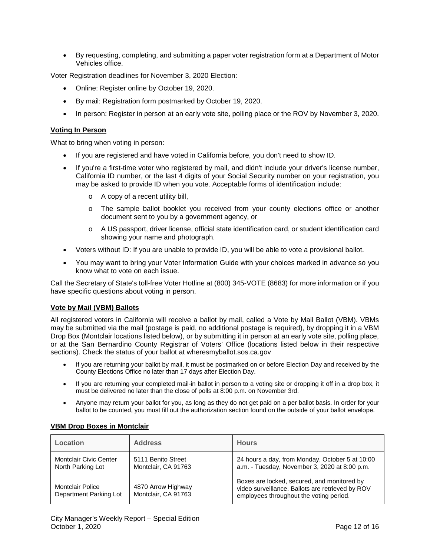• By requesting, completing, and submitting a paper voter registration form at a Department of Motor Vehicles office.

Voter Registration deadlines for November 3, 2020 Election:

- Online: Register online by October 19, 2020.
- By mail: Registration form postmarked by October 19, 2020.
- In person: Register in person at an early vote site, polling place or the ROV by November 3, 2020.

### **Voting In Person**

What to bring when voting in person:

- If you are registered and have voted in California before, you don't need to show ID.
- If you're a first-time voter who registered by mail, and didn't include your driver's license number, California ID number, or the last 4 digits of your Social Security number on your registration, you may be asked to provide ID when you vote. Acceptable forms of identification include:
	- o A copy of a recent utility bill,
	- o The sample ballot booklet you received from your county elections office or another document sent to you by a government agency, or
	- o A US passport, driver license, official state identification card, or student identification card showing your name and photograph.
- Voters without ID: If you are unable to provide ID, you will be able to vote a provisional ballot.
- You may want to bring your Voter Information Guide with your choices marked in advance so you know what to vote on each issue.

Call the Secretary of State's toll-free Voter Hotline at (800) 345-VOTE (8683) for more information or if you have specific questions about voting in person.

#### **Vote by Mail (VBM) Ballots**

All registered voters in California will receive a ballot by mail, called a Vote by Mail Ballot (VBM). VBMs may be submitted via the mail (postage is paid, no additional postage is required), by dropping it in a VBM Drop Box (Montclair locations listed below), or by submitting it in person at an early vote site, polling place, or at the San Bernardino County Registrar of Voters' Office (locations listed below in their respective sections). Check the status of your ballot at wheresmyballot.sos.ca.gov

- If you are returning your ballot by mail, it must be postmarked on or before Election Day and received by the County Elections Office no later than 17 days after Election Day.
- If you are returning your completed mail-in ballot in person to a voting site or dropping it off in a drop box, it must be delivered no later than the close of polls at 8:00 p.m. on November 3rd.
- Anyone may return your ballot for you, as long as they do not get paid on a per ballot basis. In order for your ballot to be counted, you must fill out the authorization section found on the outside of your ballot envelope.

| Location                                           | <b>Address</b>                            | <b>Hours</b>                                                                                                                               |
|----------------------------------------------------|-------------------------------------------|--------------------------------------------------------------------------------------------------------------------------------------------|
| <b>Montclair Civic Center</b><br>North Parking Lot | 5111 Benito Street<br>Montclair, CA 91763 | 24 hours a day, from Monday, October 5 at 10:00<br>a.m. - Tuesday, November 3, 2020 at 8:00 p.m.                                           |
| Montclair Police<br>Department Parking Lot         | 4870 Arrow Highway<br>Montclair, CA 91763 | Boxes are locked, secured, and monitored by<br>video surveillance. Ballots are retrieved by ROV<br>employees throughout the voting period. |

#### **VBM Drop Boxes in Montclair**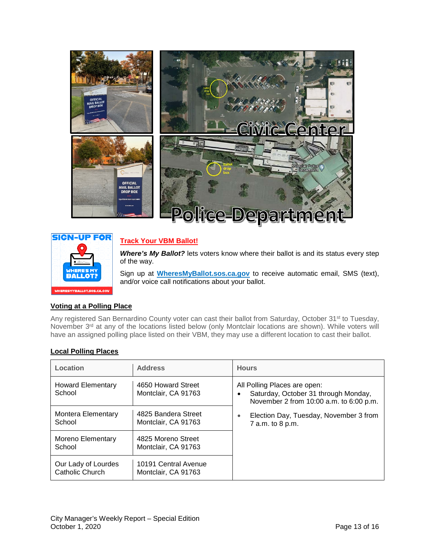



# **Track Your VBM Ballot!**

*Where's My Ballot?* lets voters know where their ballot is and its status every step of the way.

Sign up at **[WheresMyBallot.sos.ca.gov](http://wheresmyballot.sos.ca.gov/)** to receive automatic email, SMS (text), and/or voice call notifications about your ballot.

## **Voting at a Polling Place**

Any registered San Bernardino County voter can cast their ballot from Saturday, October 31<sup>st</sup> to Tuesday, November 3<sup>rd</sup> at any of the locations listed below (only Montclair locations are shown). While voters will have an assigned polling place listed on their VBM, they may use a different location to cast their ballot.

## **Local Polling Places**

| Location                               | <b>Address</b>                              | <b>Hours</b>                                                                                                    |  |
|----------------------------------------|---------------------------------------------|-----------------------------------------------------------------------------------------------------------------|--|
| <b>Howard Elementary</b><br>School     | 4650 Howard Street<br>Montclair, CA 91763   | All Polling Places are open:<br>Saturday, October 31 through Monday,<br>November 2 from 10:00 a.m. to 6:00 p.m. |  |
| Montera Elementary<br>School           | 4825 Bandera Street<br>Montclair, CA 91763  | Election Day, Tuesday, November 3 from<br>۰<br>7 a.m. to 8 p.m.                                                 |  |
| Moreno Elementary<br>School            | 4825 Moreno Street<br>Montclair, CA 91763   |                                                                                                                 |  |
| Our Lady of Lourdes<br>Catholic Church | 10191 Central Avenue<br>Montclair, CA 91763 |                                                                                                                 |  |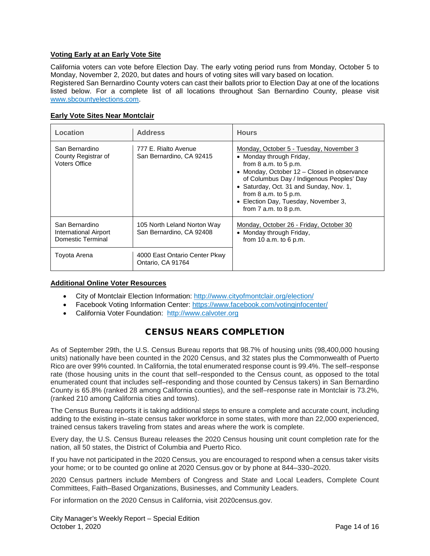# **Voting Early at an Early Vote Site**

California voters can vote before Election Day. The early voting period runs from Monday, October 5 to Monday, November 2, 2020, but dates and hours of voting sites will vary based on location. Registered San Bernardino County voters can cast their ballots prior to Election Day at one of the locations listed below. For a complete list of all locations throughout San Bernardino County, please visit [www.sbcountyelections.com.](http://www.sbcountyelections.com/)

| <b>Early Vote Sites Near Montclair</b> |  |  |  |  |
|----------------------------------------|--|--|--|--|
|----------------------------------------|--|--|--|--|

| Location                                                      | <b>Address</b>                                          | <b>Hours</b>                                                                                                                                                                                                                                                                                                                              |
|---------------------------------------------------------------|---------------------------------------------------------|-------------------------------------------------------------------------------------------------------------------------------------------------------------------------------------------------------------------------------------------------------------------------------------------------------------------------------------------|
| San Bernardino<br>County Registrar of<br><b>Voters Office</b> | 777 E. Rialto Avenue<br>San Bernardino, CA 92415        | Monday, October 5 - Tuesday, November 3<br>• Monday through Friday,<br>from $8$ a.m. to $5$ p.m.<br>• Monday, October 12 - Closed in observance<br>of Columbus Day / Indigenous Peoples' Day<br>• Saturday, Oct. 31 and Sunday, Nov. 1,<br>from $8$ a.m. to $5$ p.m.<br>• Election Day, Tuesday, November 3,<br>from $7$ a.m. to $8$ p.m. |
| San Bernardino<br>International Airport<br>Domestic Terminal  | 105 North Leland Norton Way<br>San Bernardino, CA 92408 | Monday, October 26 - Friday, October 30<br>• Monday through Friday,<br>from 10 $a.m.$ to 6 $p.m.$                                                                                                                                                                                                                                         |
| Toyota Arena                                                  | 4000 East Ontario Center Pkwy<br>Ontario, CA 91764      |                                                                                                                                                                                                                                                                                                                                           |

#### **Additional Online Voter Resources**

- City of Montclair Election Information:<http://www.cityofmontclair.org/election/>
- Facebook Voting Information Center:<https://www.facebook.com/votinginfocenter/>
- California Voter Foundation: [http://www.calvoter.org](http://www.calvoter.org/)

# CENSUS NEARS COMPLETION

As of September 29th, the U.S. Census Bureau reports that 98.7% of housing units (98,400,000 housing units) nationally have been counted in the 2020 Census, and 32 states plus the Commonwealth of Puerto Rico are over 99% counted. In California, the total enumerated response count is 99.4%. The self–response rate (those housing units in the count that self–responded to the Census count, as opposed to the total enumerated count that includes self–responding and those counted by Census takers) in San Bernardino County is 65.8% (ranked 28 among California counties), and the self–response rate in Montclair is 73.2%, (ranked 210 among California cities and towns).

The Census Bureau reports it is taking additional steps to ensure a complete and accurate count, including adding to the existing in–state census taker workforce in some states, with more than 22,000 experienced, trained census takers traveling from states and areas where the work is complete.

Every day, the U.S. Census Bureau releases the 2020 Census housing unit count completion rate for the nation, all 50 states, the District of Columbia and Puerto Rico.

If you have not participated in the 2020 Census, you are encouraged to respond when a census taker visits your home; or to be counted go online at 2020 Census.gov or by phone at 844–330–2020.

2020 Census partners include Members of Congress and State and Local Leaders, Complete Count Committees, Faith–Based Organizations, Businesses, and Community Leaders.

For information on the 2020 Census in California, visit 2020census.gov.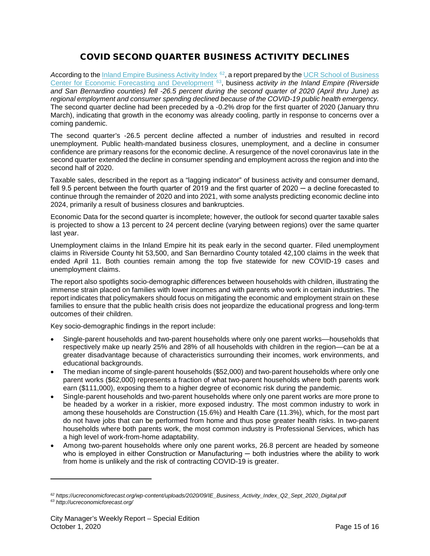# COVID SECOND QUARTER BUSINESS ACTIVITY DECLINES

According to the *Inland Empire Business Activity Index* <sup>[62](#page-14-0)</sup>, a report prepared by the UCR School of Business [Center for Economic Forecasting and Development](http://ucreconomicforecast.org/) [63](#page-14-1), business *activity in the Inland Empire (Riverside and San Bernardino counties) fell -26.5 percent during the second quarter of 2020 (April thru June) as regional employment and consumer spending declined because of the COVID-19 public health emergency.* The second quarter decline had been preceded by a -0.2% drop for the first quarter of 2020 (January thru March), indicating that growth in the economy was already cooling, partly in response to concerns over a coming pandemic.

The second quarter's -26.5 percent decline affected a number of industries and resulted in record unemployment. Public health-mandated business closures, unemployment, and a decline in consumer confidence are primary reasons for the economic decline. A resurgence of the novel coronavirus late in the second quarter extended the decline in consumer spending and employment across the region and into the second half of 2020.

Taxable sales, described in the report as a "lagging indicator" of business activity and consumer demand, fell 9.5 percent between the fourth quarter of 2019 and the first quarter of 2020 — a decline forecasted to continue through the remainder of 2020 and into 2021, with some analysts predicting economic decline into 2024, primarily a result of business closures and bankruptcies.

Economic Data for the second quarter is incomplete; however, the outlook for second quarter taxable sales is projected to show a 13 percent to 24 percent decline (varying between regions) over the same quarter last year.

Unemployment claims in the Inland Empire hit its peak early in the second quarter. Filed unemployment claims in Riverside County hit 53,500, and San Bernardino County totaled 42,100 claims in the week that ended April 11. Both counties remain among the top five statewide for new COVID-19 cases and unemployment claims.

The report also spotlights socio-demographic differences between households with children, illustrating the immense strain placed on families with lower incomes and with parents who work in certain industries. The report indicates that policymakers should focus on mitigating the economic and employment strain on these families to ensure that the public health crisis does not jeopardize the educational progress and long-term outcomes of their children.

Key socio-demographic findings in the report include:

- Single-parent households and two-parent households where only one parent works––households that respectively make up nearly 25% and 28% of all households with children in the region––can be at a greater disadvantage because of characteristics surrounding their incomes, work environments, and educational backgrounds.
- The median income of single-parent households (\$52,000) and two-parent households where only one parent works (\$62,000) represents a fraction of what two-parent households where both parents work earn (\$111,000), exposing them to a higher degree of economic risk during the pandemic.
- Single-parent households and two-parent households where only one parent works are more prone to be headed by a worker in a riskier, more exposed industry. The most common industry to work in among these households are Construction (15.6%) and Health Care (11.3%), which, for the most part do not have jobs that can be performed from home and thus pose greater health risks. In two-parent households where both parents work, the most common industry is Professional Services, which has a high level of work-from-home adaptability.
- Among two-parent households where only one parent works, 26.8 percent are headed by someone who is employed in either Construction or Manufacturing — both industries where the ability to work from home is unlikely and the risk of contracting COVID-19 is greater.

 $\overline{a}$ 

<span id="page-14-1"></span><span id="page-14-0"></span>*<sup>62</sup> https://ucreconomicforecast.org/wp-content/uploads/2020/09/IE\_Business\_Activity\_Index\_Q2\_Sept\_2020\_Digital.pdf <sup>63</sup> http://ucreconomicforecast.org/*